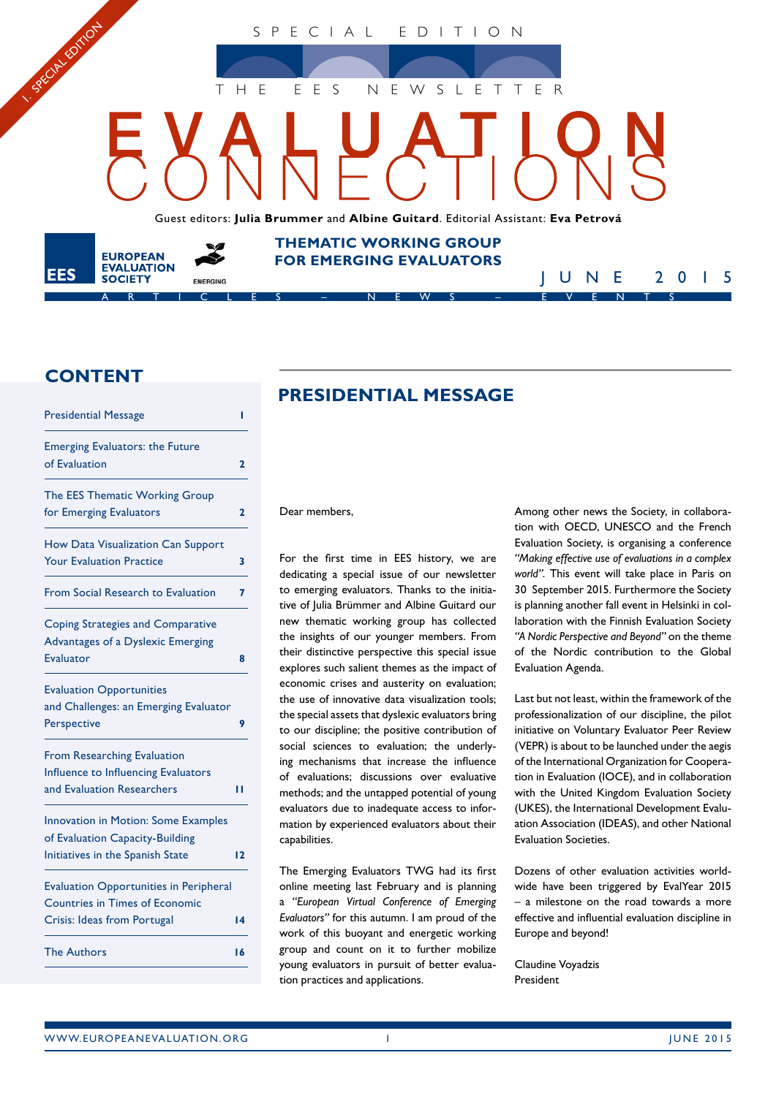SPECIAL EDITION

THE EES NEWSLETTER

Guest editors: **Julia Brummer** and **Albine Guitard**. Editorial Assistant: **Eva Petrová**

**THEMATIC WORKING GROUP FOR EMERGING EVALUATORS** 

ARTICLES – NEWS – EVENTS

# **CONTENT**

**EUROPEAN EVALUATION** 

**SOCIETY** 

1. SREAM EDITON

**EES** 

| <b>Presidential Message</b>                                                                                           | ı            |
|-----------------------------------------------------------------------------------------------------------------------|--------------|
| <b>Emerging Evaluators: the Future</b><br>of Evaluation                                                               | $\mathbf{2}$ |
| The EES Thematic Working Group<br>for Emerging Evaluators                                                             | 2            |
| How Data Visualization Can Support<br><b>Your Evaluation Practice</b>                                                 | 3            |
| From Social Research to Evaluation                                                                                    | 7            |
| <b>Coping Strategies and Comparative</b><br>Advantages of a Dyslexic Emerging<br>Evaluator                            | 8            |
| <b>Evaluation Opportunities</b><br>and Challenges: an Emerging Evaluator<br>Perspective                               | 9            |
| <b>From Researching Evaluation</b><br>Influence to Influencing Evaluators<br>and Evaluation Researchers               | ш            |
| <b>Innovation in Motion: Some Examples</b><br>of Evaluation Capacity-Building<br>Initiatives in the Spanish State     | 12           |
| <b>Evaluation Opportunities in Peripheral</b><br><b>Countries in Times of Economic</b><br>Crisis: Ideas from Portugal | 14           |
| <b>The Authors</b>                                                                                                    | 16           |

# **PRESIDENTIAL MESSAGE**

Dear members,

For the first time in EES history, we are dedicating a special issue of our newsletter to emerging evaluators. Thanks to the initiative of Julia Brümmer and Albine Guitard our new thematic working group has collected the insights of our younger members. From their distinctive perspective this special issue explores such salient themes as the impact of economic crises and austerity on evaluation; the use of innovative data visualization tools; the special assets that dyslexic evaluators bring to our discipline; the positive contribution of social sciences to evaluation; the underlying mechanisms that increase the influence of evaluations; discussions over evaluative methods; and the untapped potential of young evaluators due to inadequate access to information by experienced evaluators about their capabilities.

The Emerging Evaluators TWG had its first online meeting last February and is planning a *"European Virtual Conference of Emerging Evaluators"* for this autumn. I am proud of the work of this buoyant and energetic working group and count on it to further mobilize young evaluators in pursuit of better evaluation practices and applications.

Among other news the Society, in collaboration with OECD, UNESCO and the French Evaluation Society, is organising a conference *"Making effective use of evaluations in a complex world"*. This event will take place in Paris on 30 September 2015. Furthermore the Society is planning another fall event in Helsinki in collaboration with the Finnish Evaluation Society *"A Nordic Perspective and Beyond"* on the theme of the Nordic contribution to the Global Evaluation Agenda.

JUNE 2015

Last but not least, within the framework of the professionalization of our discipline, the pilot initiative on Voluntary Evaluator Peer Review (VEPR) is about to be launched under the aegis of the International Organization for Cooperation in Evaluation (IOCE), and in collaboration with the United Kingdom Evaluation Society (UKES), the International Development Evaluation Association (IDEAS), and other National Evaluation Societies.

Dozens of other evaluation activities worldwide have been triggered by EvalYear 2015 – a milestone on the road towards a more effective and influential evaluation discipline in Europe and beyond!

Claudine Voyadzis President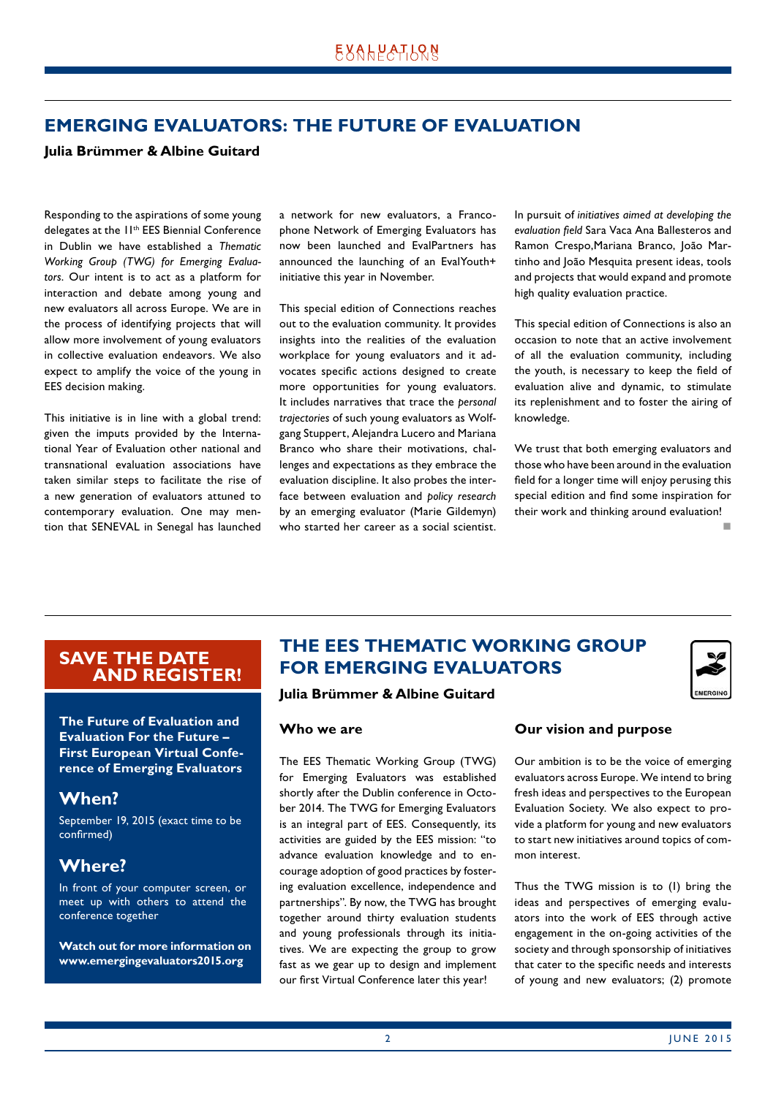# <span id="page-1-0"></span>**EMERGING EVALUATORS: THE FUTURE OF EVALUATION**

## **Julia Brümmer & Albine Guitard**

Responding to the aspirations of some young delegates at the 11<sup>th</sup> EES Biennial Conference in Dublin we have established a *Thematic Working Group (TWG) for Emerging Evaluators*. Our intent is to act as a platform for interaction and debate among young and new evaluators all across Europe. We are in the process of identifying projects that will allow more involvement of young evaluators in collective evaluation endeavors. We also expect to amplify the voice of the young in EES decision making.

This initiative is in line with a global trend: given the imputs provided by the International Year of Evaluation other national and transnational evaluation associations have taken similar steps to facilitate the rise of a new generation of evaluators attuned to contemporary evaluation. One may mention that SENEVAL in Senegal has launched a network for new evaluators, a Francophone Network of Emerging Evaluators has now been launched and EvalPartners has announced the launching of an EvalYouth+ initiative this year in November.

This special edition of Connections reaches out to the evaluation community. It provides insights into the realities of the evaluation workplace for young evaluators and it advocates specific actions designed to create more opportunities for young evaluators. It includes narratives that trace the *personal trajectories* of such young evaluators as Wolfgang Stuppert, Alejandra Lucero and Mariana Branco who share their motivations, challenges and expectations as they embrace the evaluation discipline. It also probes the interface between evaluation and *policy research*  by an emerging evaluator (Marie Gildemyn) who started her career as a social scientist. In pursuit of *initiatives aimed at developing the evaluation field* Sara Vaca Ana Ballesteros and Ramon Crespo,Mariana Branco, João Martinho and João Mesquita present ideas, tools and projects that would expand and promote high quality evaluation practice.

This special edition of Connections is also an occasion to note that an active involvement of all the evaluation community, including the youth, is necessary to keep the field of evaluation alive and dynamic, to stimulate its replenishment and to foster the airing of knowledge.

We trust that both emerging evaluators and those who have been around in the evaluation field for a longer time will enjoy perusing this special edition and find some inspiration for their work and thinking around evaluation!

not a contract the contract of the

# **SAVE THE DATE AND REGISTER!**

**The Future of Evaluation and Evaluation For the Future – First European Virtual Conference of Emerging Evaluators**

# **When?**

September 19, 2015 (exact time to be confirmed)

# **Where?**

In front of your computer screen, or meet up with others to attend the conference together

**Watch out for more information on www.emergingevaluators2015.org**

# **THE EES THEMATIC WORKING GROUP FOR EMERGING EVALUATORS**



## **Julia Brümmer & Albine Guitard**

#### **Who we are**

The EES Thematic Working Group (TWG) for Emerging Evaluators was established shortly after the Dublin conference in October 2014. The TWG for Emerging Evaluators is an integral part of EES. Consequently, its activities are guided by the EES mission: "to advance evaluation knowledge and to encourage adoption of good practices by fostering evaluation excellence, independence and partnerships". By now, the TWG has brought together around thirty evaluation students and young professionals through its initiatives. We are expecting the group to grow fast as we gear up to design and implement our first Virtual Conference later this year!

## **Our vision and purpose**

Our ambition is to be the voice of emerging evaluators across Europe. We intend to bring fresh ideas and perspectives to the European Evaluation Society. We also expect to provide a platform for young and new evaluators to start new initiatives around topics of common interest.

Thus the TWG mission is to (1) bring the ideas and perspectives of emerging evaluators into the work of EES through active engagement in the on-going activities of the society and through sponsorship of initiatives that cater to the specific needs and interests of young and new evaluators; (2) promote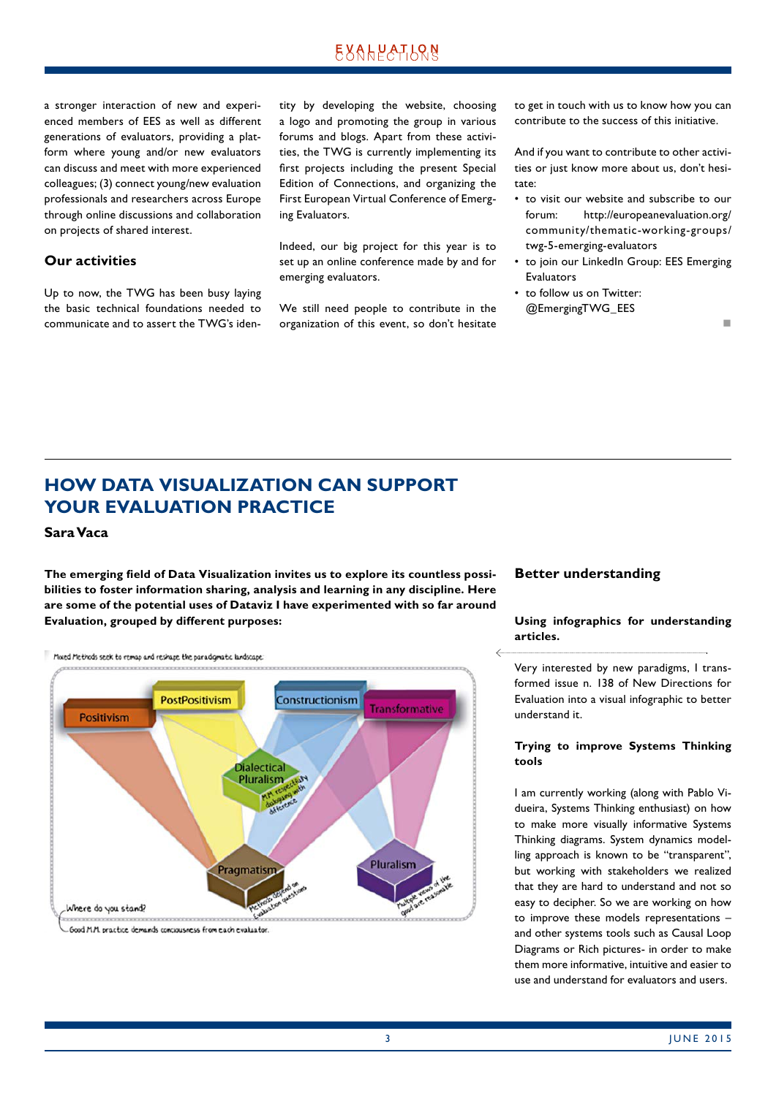<span id="page-2-0"></span>a stronger interaction of new and experienced members of EES as well as different generations of evaluators, providing a platform where young and/or new evaluators can discuss and meet with more experienced colleagues; (3) connect young/new evaluation professionals and researchers across Europe through online discussions and collaboration on projects of shared interest.

## **Our activities**

Up to now, the TWG has been busy laying the basic technical foundations needed to communicate and to assert the TWG's identity by developing the website, choosing a logo and promoting the group in various forums and blogs. Apart from these activities, the TWG is currently implementing its first projects including the present Special Edition of Connections, and organizing the First European Virtual Conference of Emerging Evaluators.

Indeed, our big project for this year is to set up an online conference made by and for emerging evaluators.

We still need people to contribute in the organization of this event, so don't hesitate to get in touch with us to know how you can contribute to the success of this initiative.

And if you want to contribute to other activities or just know more about us, don't hesitate:

- to visit our website and subscribe to our forum: http://europeanevaluation.org/ community/thematic-working-groups/ twg-5-emerging-evaluators
- to join our LinkedIn Group: EES Emerging Evaluators
- to follow us on Twitter: @EmergingTWG\_EES

n

# **HOW DATA VISUALIZATION CAN SUPPORT YOUR EVALUATION PRACTICE**

## **Sara Vaca**

**The emerging field of Data Visualization invites us to explore its countless possibilities to foster information sharing, analysis and learning in any discipline. Here are some of the potential uses of Dataviz I have experimented with so far around Evaluation, grouped by different purposes:** 



**Better understanding**

#### **Using infographics for understanding articles.**

Very interested by new paradigms, I transformed issue n. 138 of New Directions for Evaluation into a visual infographic to better understand it.

#### **Trying to improve Systems Thinking tools**

I am currently working (along with Pablo Vidueira, Systems Thinking enthusiast) on how to make more visually informative Systems Thinking diagrams. System dynamics modelling approach is known to be "transparent", but working with stakeholders we realized that they are hard to understand and not so easy to decipher. So we are working on how to improve these models representations – and other systems tools such as Causal Loop Diagrams or Rich pictures- in order to make them more informative, intuitive and easier to use and understand for evaluators and users.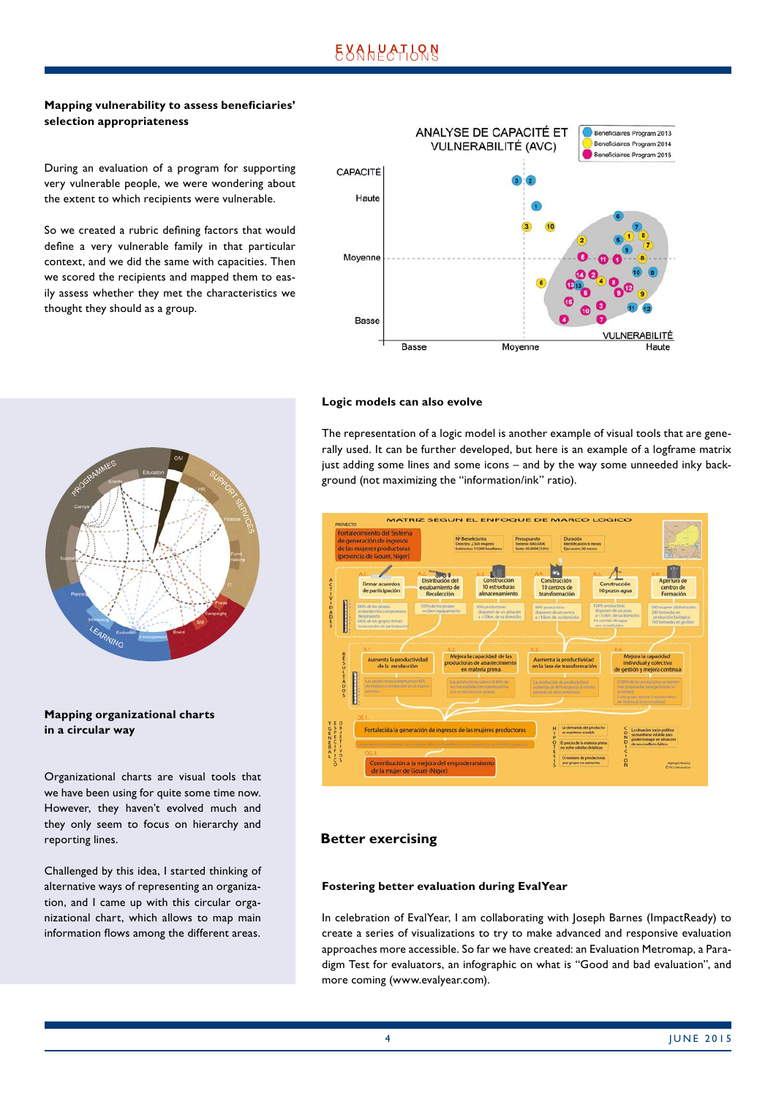## **Mapping vulnerability to assess beneficiaries' selection appropriateness**

During an evaluation of a program for supporting very vulnerable people, we were wondering about the extent to which recipients were vulnerable.

So we created a rubric defining factors that would define a very vulnerable family in that particular context, and we did the same with capacities. Then we scored the recipients and mapped them to easily assess whether they met the characteristics we thought they should as a group.



# LEARNING

## **Mapping organizational charts in a circular way**

Organizational charts are visual tools that we have been using for quite some time now. However, they haven't evolved much and they only seem to focus on hierarchy and reporting lines.

Challenged by this idea, I started thinking of alternative ways of representing an organization, and I came up with this circular organizational chart, which allows to map main information flows among the different areas.

## **Logic models can also evolve**

The representation of a logic model is another example of visual tools that are generally used. It can be further developed, but here is an example of a logframe matrix just adding some lines and some icons – and by the way some unneeded inky background (not maximizing the "information/ink" ratio).



## **Better exercising**

#### **Fostering better evaluation during EvalYear**

In celebration of EvalYear, I am collaborating with Joseph Barnes (ImpactReady) to create a series of visualizations to try to make advanced and responsive evaluation approaches more accessible. So far we have created: an Evaluation Metromap, a Paradigm Test for evaluators, an infographic on what is "Good and bad evaluation", and more coming (www.evalyear.com).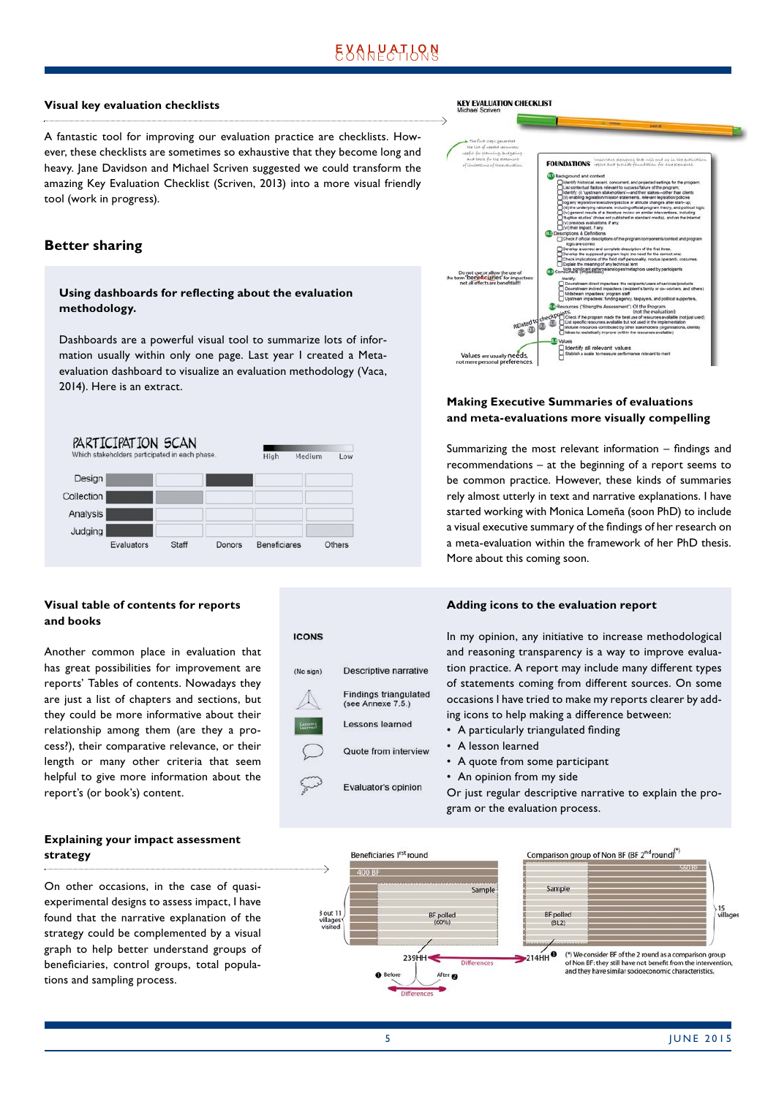# **EXALPATION**

#### **Visual key evaluation checklists**

A fantastic tool for improving our evaluation practice are checklists. However, these checklists are sometimes so exhaustive that they become long and heavy. Jane Davidson and Michael Scriven suggested we could transform the amazing Key Evaluation Checklist (Scriven, 2013) into a more visual friendly tool (work in progress).

#### **Better sharing**

## **Using dashboards for reflecting about the evaluation methodology.**

Dashboards are a powerful visual tool to summarize lots of information usually within only one page. Last year I created a Metaevaluation dashboard to visualize an evaluation methodology (Vaca, 2014). Here is an extract.



## **Visual table of contents for reports and books**

Another common place in evaluation that has great possibilities for improvement are reports' Tables of contents. Nowadays they are just a list of chapters and sections, but they could be more informative about their relationship among them (are they a process?), their comparative relevance, or their length or many other criteria that seem helpful to give more information about the report's (or book's) content.

#### **Explaining your impact assessment strategy**

On other occasions, in the case of quasiexperimental designs to assess impact, I have found that the narrative explanation of the strategy could be complemented by a visual graph to help better understand groups of beneficiaries, control groups, total populations and sampling process.



#### **Making Executive Summaries of evaluations and meta-evaluations more visually compelling**

Summarizing the most relevant information – findings and recommendations – at the beginning of a report seems to be common practice. However, these kinds of summaries rely almost utterly in text and narrative explanations. I have started working with Monica Lomeña (soon PhD) to include a visual executive summary of the findings of her research on a meta-evaluation within the framework of her PhD thesis. More about this coming soon.

#### **Adding icons to the evaluation report**

**ICONS** Descriptive narrative (No sign) **Findings triangulated** (see Annexe 7.5.) Lessons learned Quote from interview Evaluator's opinion

In my opinion, any initiative to increase methodological and reasoning transparency is a way to improve evaluation practice. A report may include many different types of statements coming from different sources. On some occasions I have tried to make my reports clearer by adding icons to help making a difference between:

- A particularly triangulated finding
- A lesson learned
- A quote from some participant
- An opinion from my side

Or just regular descriptive narrative to explain the program or the evaluation process.

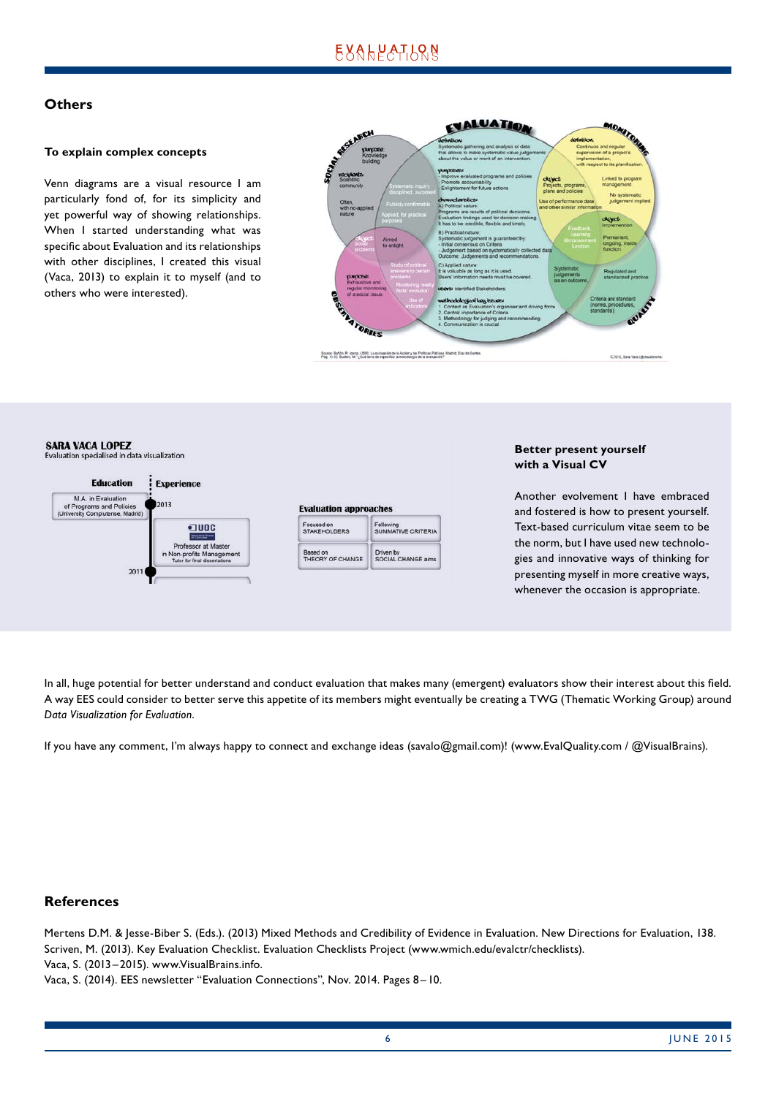# **EXALPATION**

## **Others**

#### **To explain complex concepts**

Venn diagrams are a visual resource I am particularly fond of, for its simplicity and yet powerful way of showing relationships. When I started understanding what was specific about Evaluation and its relationships with other disciplines, I created this visual (Vaca, 2013) to explain it to myself (and to others who were interested).



**SARA VACA LOPEZ** Evaluation specialised in data visualization



#### **Better present yourself with a Visual CV**

Another evolvement I have embraced and fostered is how to present yourself. Text-based curriculum vitae seem to be the norm, but I have used new technologies and innovative ways of thinking for presenting myself in more creative ways, whenever the occasion is appropriate.

In all, huge potential for better understand and conduct evaluation that makes many (emergent) evaluators show their interest about this field. A way EES could consider to better serve this appetite of its members might eventually be creating a TWG (Thematic Working Group) around *Data Visualization for Evaluation*.

If you have any comment, I'm always happy to connect and exchange ideas (savalo@gmail.com)! (www.EvalQuality.com / @VisualBrains).

## **References**

Mertens D.M. & Jesse-Biber S. (Eds.). (2013) Mixed Methods and Credibility of Evidence in Evaluation. New Directions for Evaluation, 138. Scriven, M. (2013). Key Evaluation Checklist. Evaluation Checklists Project (www.wmich.edu/evalctr/checklists). Vaca, S. (2013–2015). www.VisualBrains.info.

Vaca, S. (2014). EES newsletter "Evaluation Connections", Nov. 2014. Pages 8–10.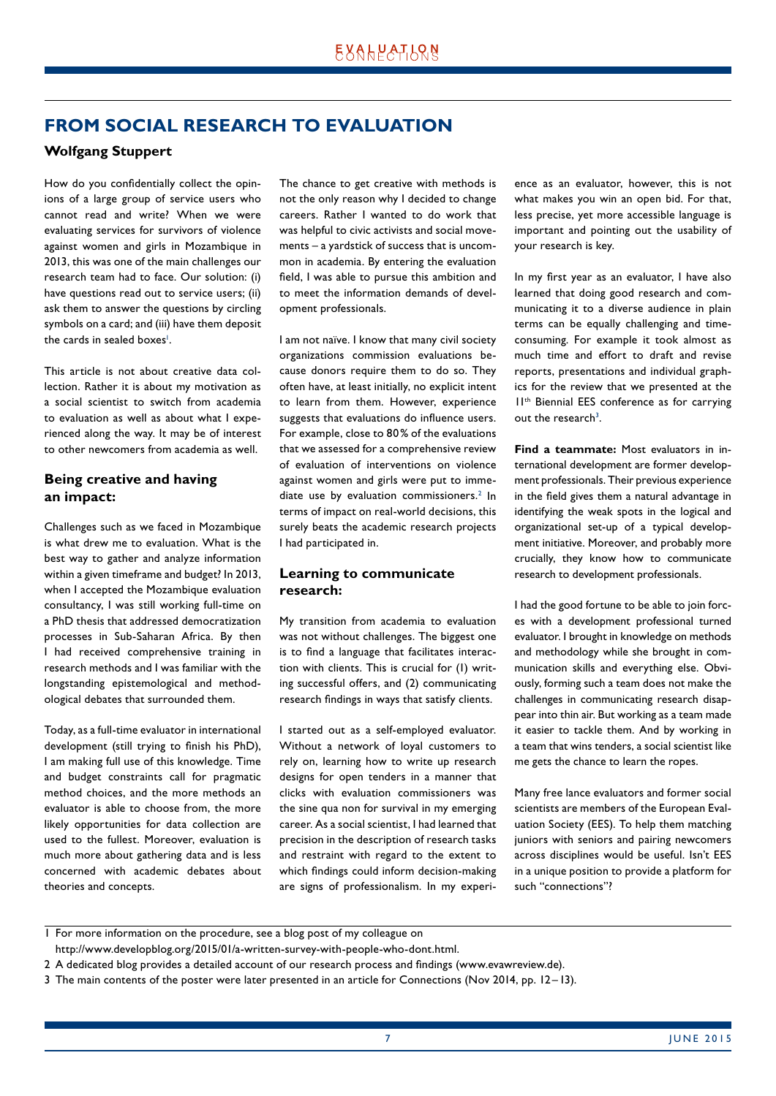# <span id="page-6-0"></span>**FROM SOCIAL RESEARCH TO EVALUATION**

# **Wolfgang Stuppert**

How do you confidentially collect the opinions of a large group of service users who cannot read and write? When we were evaluating services for survivors of violence against women and girls in Mozambique in 2013, this was one of the main challenges our research team had to face. Our solution: (i) have questions read out to service users; (ii) ask them to answer the questions by circling symbols on a card; and (iii) have them deposit the cards in sealed boxes<sup>1</sup>.

This article is not about creative data collection. Rather it is about my motivation as a social scientist to switch from academia to evaluation as well as about what I experienced along the way. It may be of interest to other newcomers from academia as well.

# **Being creative and having an impact:**

Challenges such as we faced in Mozambique is what drew me to evaluation. What is the best way to gather and analyze information within a given timeframe and budget? In 2013, when I accepted the Mozambique evaluation consultancy, I was still working full-time on a PhD thesis that addressed democratization processes in Sub-Saharan Africa. By then I had received comprehensive training in research methods and I was familiar with the longstanding epistemological and methodological debates that surrounded them.

Today, as a full-time evaluator in international development (still trying to finish his PhD), I am making full use of this knowledge. Time and budget constraints call for pragmatic method choices, and the more methods an evaluator is able to choose from, the more likely opportunities for data collection are used to the fullest. Moreover, evaluation is much more about gathering data and is less concerned with academic debates about theories and concepts.

The chance to get creative with methods is not the only reason why I decided to change careers. Rather I wanted to do work that was helpful to civic activists and social movements – a yardstick of success that is uncommon in academia. By entering the evaluation field, I was able to pursue this ambition and to meet the information demands of development professionals.

I am not naïve. I know that many civil society organizations commission evaluations because donors require them to do so. They often have, at least initially, no explicit intent to learn from them. However, experience suggests that evaluations do influence users. For example, close to 80% of the evaluations that we assessed for a comprehensive review of evaluation of interventions on violence against women and girls were put to immediate use by evaluation commissioners.<sup>2</sup> In terms of impact on real-world decisions, this surely beats the academic research projects I had participated in.

## **Learning to communicate research:**

My transition from academia to evaluation was not without challenges. The biggest one is to find a language that facilitates interaction with clients. This is crucial for (1) writing successful offers, and (2) communicating research findings in ways that satisfy clients.

I started out as a self-employed evaluator. Without a network of loyal customers to rely on, learning how to write up research designs for open tenders in a manner that clicks with evaluation commissioners was the sine qua non for survival in my emerging career. As a social scientist, I had learned that precision in the description of research tasks and restraint with regard to the extent to which findings could inform decision-making are signs of professionalism. In my experience as an evaluator, however, this is not what makes you win an open bid. For that, less precise, yet more accessible language is important and pointing out the usability of your research is key.

In my first year as an evaluator, I have also learned that doing good research and communicating it to a diverse audience in plain terms can be equally challenging and timeconsuming. For example it took almost as much time and effort to draft and revise reports, presentations and individual graphics for the review that we presented at the 11th Biennial EES conference as for carrying out the research<sup>3</sup>.

**Find a teammate:** Most evaluators in international development are former development professionals. Their previous experience in the field gives them a natural advantage in identifying the weak spots in the logical and organizational set-up of a typical development initiative. Moreover, and probably more crucially, they know how to communicate research to development professionals.

I had the good fortune to be able to join forces with a development professional turned evaluator. I brought in knowledge on methods and methodology while she brought in communication skills and everything else. Obviously, forming such a team does not make the challenges in communicating research disappear into thin air. But working as a team made it easier to tackle them. And by working in a team that wins tenders, a social scientist like me gets the chance to learn the ropes.

Many free lance evaluators and former social scientists are members of the European Evaluation Society (EES). To help them matching juniors with seniors and pairing newcomers across disciplines would be useful. Isn't EES in a unique position to provide a platform for such "connections"?

- http://www.developblog.org/2015/01/a-written-survey-with-people-who-dont.html.
- 2 A dedicated blog provides a detailed account of our research process and findings (www.evawreview.de).
- 3 The main contents of the poster were later presented in an article for Connections (Nov 2014, pp. 12 –13).

<sup>1</sup> For more information on the procedure, see a blog post of my colleague on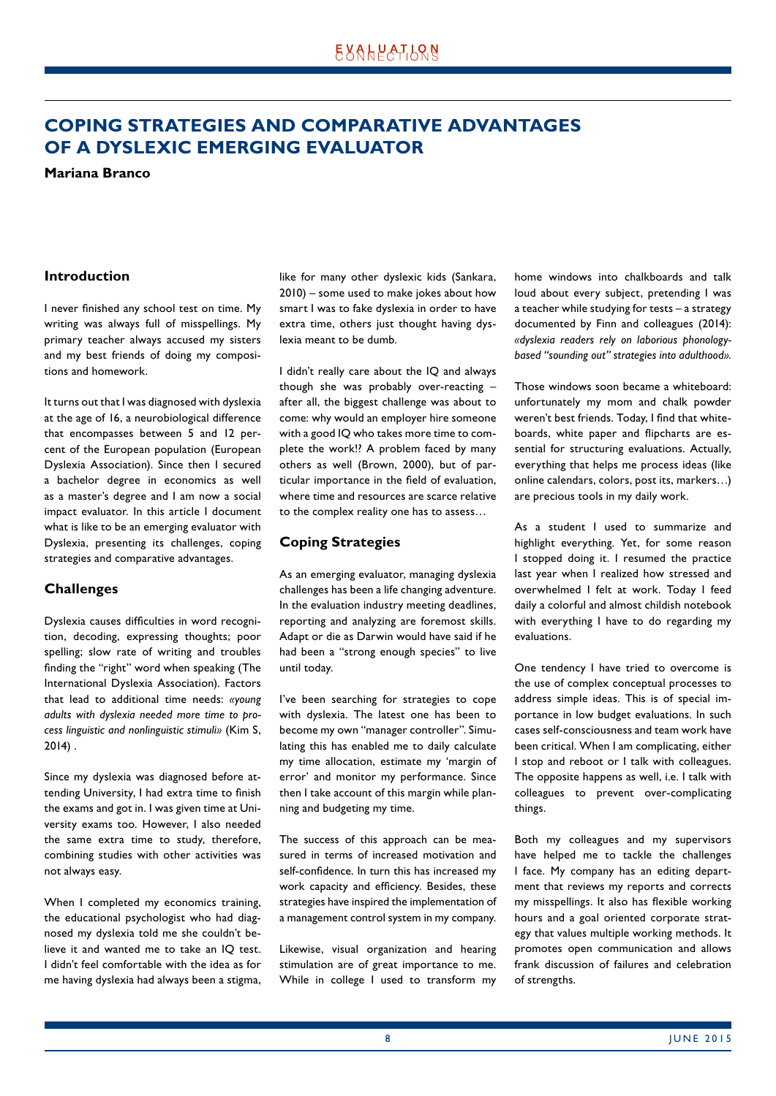# <span id="page-7-0"></span>**COPING STRATEGIES AND COMPARATIVE ADVANTAGES OF A DYSLEXIC EMERGING EVALUATOR**

**Mariana Branco**

## **Introduction**

I never finished any school test on time. My writing was always full of misspellings. My primary teacher always accused my sisters and my best friends of doing my compositions and homework.

It turns out that I was diagnosed with dyslexia at the age of 16, a neurobiological difference that encompasses between 5 and 12 percent of the European population (European Dyslexia Association). Since then I secured a bachelor degree in economics as well as a master's degree and I am now a social impact evaluator. In this article I document what is like to be an emerging evaluator with Dyslexia, presenting its challenges, coping strategies and comparative advantages.

## **Challenges**

Dyslexia causes difficulties in word recognition, decoding, expressing thoughts; poor spelling; slow rate of writing and troubles finding the "right" word when speaking (The International Dyslexia Association). Factors that lead to additional time needs: *«young adults with dyslexia needed more time to process linguistic and nonlinguistic stimuli»* (Kim S, 2014) .

Since my dyslexia was diagnosed before attending University, I had extra time to finish the exams and got in. I was given time at University exams too. However, I also needed the same extra time to study, therefore, combining studies with other activities was not always easy.

When I completed my economics training, the educational psychologist who had diagnosed my dyslexia told me she couldn't believe it and wanted me to take an IQ test. I didn't feel comfortable with the idea as for me having dyslexia had always been a stigma, like for many other dyslexic kids (Sankara, 2010) – some used to make jokes about how smart I was to fake dyslexia in order to have extra time, others just thought having dyslexia meant to be dumb.

I didn't really care about the IQ and always though she was probably over-reacting – after all, the biggest challenge was about to come: why would an employer hire someone with a good IQ who takes more time to complete the work!? A problem faced by many others as well (Brown, 2000), but of particular importance in the field of evaluation, where time and resources are scarce relative to the complex reality one has to assess…

#### **Coping Strategies**

As an emerging evaluator, managing dyslexia challenges has been a life changing adventure. In the evaluation industry meeting deadlines, reporting and analyzing are foremost skills. Adapt or die as Darwin would have said if he had been a "strong enough species" to live until today.

I've been searching for strategies to cope with dyslexia. The latest one has been to become my own "manager controller". Simulating this has enabled me to daily calculate my time allocation, estimate my 'margin of error' and monitor my performance. Since then I take account of this margin while planning and budgeting my time.

The success of this approach can be measured in terms of increased motivation and self-confidence. In turn this has increased my work capacity and efficiency. Besides, these strategies have inspired the implementation of a management control system in my company.

Likewise, visual organization and hearing stimulation are of great importance to me. While in college I used to transform my home windows into chalkboards and talk loud about every subject, pretending I was a teacher while studying for tests – a strategy documented by Finn and colleagues (2014): *«dyslexia readers rely on laborious phonologybased "sounding out" strategies into adulthood»*.

Those windows soon became a whiteboard: unfortunately my mom and chalk powder weren't best friends. Today, I find that whiteboards, white paper and flipcharts are essential for structuring evaluations. Actually, everything that helps me process ideas (like online calendars, colors, post its, markers…) are precious tools in my daily work.

As a student I used to summarize and highlight everything. Yet, for some reason I stopped doing it. I resumed the practice last year when I realized how stressed and overwhelmed I felt at work. Today I feed daily a colorful and almost childish notebook with everything I have to do regarding my evaluations.

One tendency I have tried to overcome is the use of complex conceptual processes to address simple ideas. This is of special importance in low budget evaluations. In such cases self-consciousness and team work have been critical. When I am complicating, either I stop and reboot or I talk with colleagues. The opposite happens as well, i.e. I talk with colleagues to prevent over-complicating things.

Both my colleagues and my supervisors have helped me to tackle the challenges I face. My company has an editing department that reviews my reports and corrects my misspellings. It also has flexible working hours and a goal oriented corporate strategy that values multiple working methods. It promotes open communication and allows frank discussion of failures and celebration of strengths.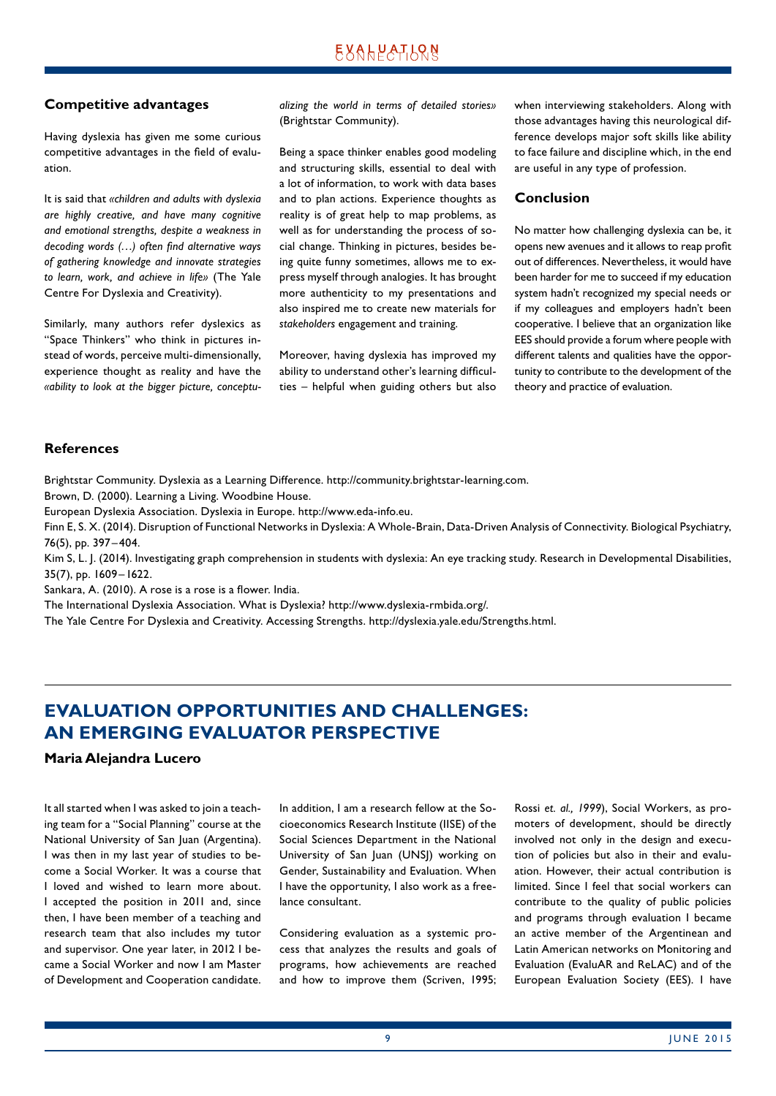#### <span id="page-8-0"></span>**Competitive advantages**

Having dyslexia has given me some curious competitive advantages in the field of evaluation.

It is said that *«children and adults with dyslexia are highly creative, and have many cognitive and emotional strengths, despite a weakness in decoding words (…) often find alternative ways of gathering knowledge and innovate strategies to learn, work, and achieve in life»* (The Yale Centre For Dyslexia and Creativity).

Similarly, many authors refer dyslexics as "Space Thinkers" who think in pictures instead of words, perceive multi-dimensionally, experience thought as reality and have the *«ability to look at the bigger picture, conceptu-* *alizing the world in terms of detailed stories»* (Brightstar Community).

Being a space thinker enables good modeling and structuring skills, essential to deal with a lot of information, to work with data bases and to plan actions. Experience thoughts as reality is of great help to map problems, as well as for understanding the process of social change. Thinking in pictures, besides being quite funny sometimes, allows me to express myself through analogies. It has brought more authenticity to my presentations and also inspired me to create new materials for *stakeholders* engagement and training.

Moreover, having dyslexia has improved my ability to understand other's learning difficulties – helpful when guiding others but also when interviewing stakeholders. Along with those advantages having this neurological difference develops major soft skills like ability to face failure and discipline which, in the end are useful in any type of profession.

#### **Conclusion**

No matter how challenging dyslexia can be, it opens new avenues and it allows to reap profit out of differences. Nevertheless, it would have been harder for me to succeed if my education system hadn't recognized my special needs or if my colleagues and employers hadn't been cooperative. I believe that an organization like EES should provide a forum where people with different talents and qualities have the opportunity to contribute to the development of the theory and practice of evaluation.

#### **References**

Brightstar Community. Dyslexia as a Learning Difference. http://community.brightstar-learning.com.

Brown, D. (2000). Learning a Living. Woodbine House.

European Dyslexia Association. Dyslexia in Europe. http://www.eda-info.eu.

Finn E, S. X. (2014). Disruption of Functional Networks in Dyslexia: A Whole-Brain, Data-Driven Analysis of Connectivity. Biological Psychiatry, 76(5), pp. 397– 404.

Kim S, L. J. (2014). Investigating graph comprehension in students with dyslexia: An eye tracking study. Research in Developmental Disabilities, 35(7), pp. 1609 –1622.

Sankara, A. (2010). A rose is a rose is a flower. India.

The International Dyslexia Association. What is Dyslexia? http://www.dyslexia-rmbida.org/.

The Yale Centre For Dyslexia and Creativity. Accessing Strengths. http://dyslexia.yale.edu/Strengths.html.

# **EVALUATION OPPORTUNITIES AND CHALLENGES: AN EMERGING EVALUATOR PERSPECTIVE**

#### **Maria Alejandra Lucero**

It all started when I was asked to join a teaching team for a "Social Planning" course at the National University of San Juan (Argentina). I was then in my last year of studies to become a Social Worker. It was a course that I loved and wished to learn more about. I accepted the position in 2011 and, since then, I have been member of a teaching and research team that also includes my tutor and supervisor. One year later, in 2012 I became a Social Worker and now I am Master of Development and Cooperation candidate. In addition, I am a research fellow at the Socioeconomics Research Institute (IISE) of the Social Sciences Department in the National University of San Juan (UNSJ) working on Gender, Sustainability and Evaluation. When I have the opportunity, I also work as a freelance consultant.

Considering evaluation as a systemic process that analyzes the results and goals of programs, how achievements are reached and how to improve them (Scriven, 1995; Rossi *et. al., 1999*), Social Workers, as promoters of development, should be directly involved not only in the design and execution of policies but also in their and evaluation. However, their actual contribution is limited. Since I feel that social workers can contribute to the quality of public policies and programs through evaluation I became an active member of the Argentinean and Latin American networks on Monitoring and Evaluation (EvaluAR and ReLAC) and of the European Evaluation Society (EES). I have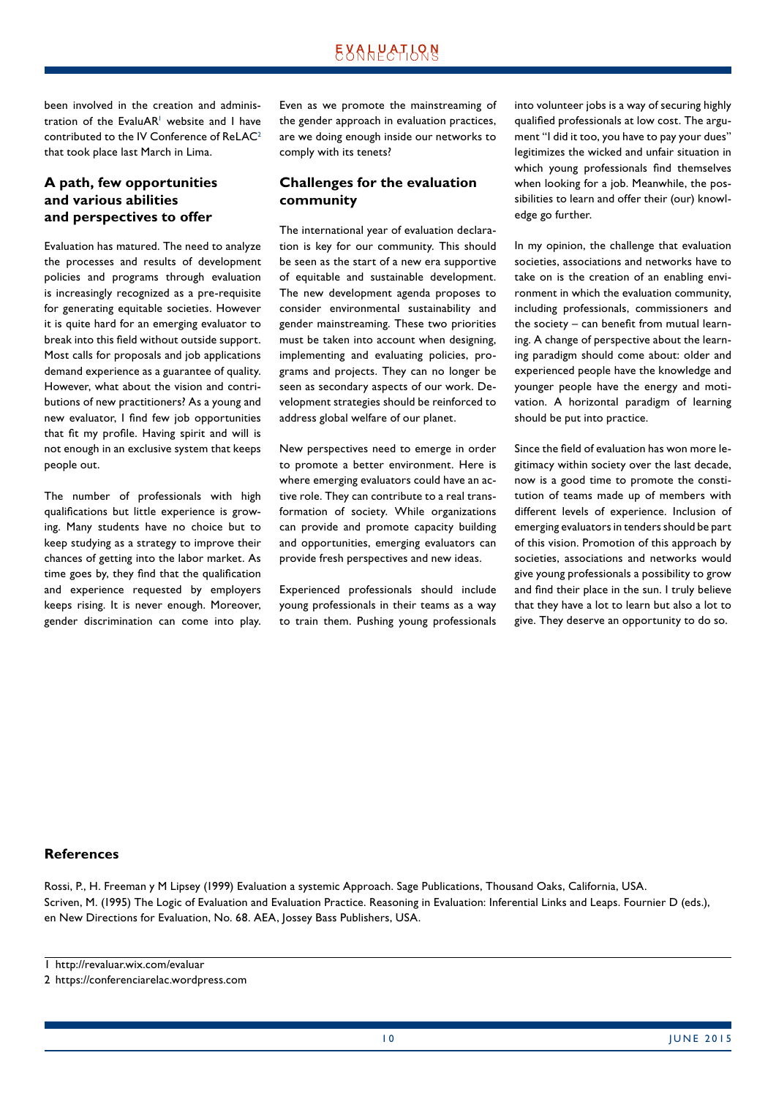been involved in the creation and administration of the EvaluAR<sup>1</sup> website and I have contributed to the IV Conference of ReLAC<sup>2</sup> that took place last March in Lima.

# **A path, few opportunities and various abilities and perspectives to offer**

Evaluation has matured. The need to analyze the processes and results of development policies and programs through evaluation is increasingly recognized as a pre-requisite for generating equitable societies. However it is quite hard for an emerging evaluator to break into this field without outside support. Most calls for proposals and job applications demand experience as a guarantee of quality. However, what about the vision and contributions of new practitioners? As a young and new evaluator, I find few job opportunities that fit my profile. Having spirit and will is not enough in an exclusive system that keeps people out.

The number of professionals with high qualifications but little experience is growing. Many students have no choice but to keep studying as a strategy to improve their chances of getting into the labor market. As time goes by, they find that the qualification and experience requested by employers keeps rising. It is never enough. Moreover, gender discrimination can come into play. Even as we promote the mainstreaming of the gender approach in evaluation practices, are we doing enough inside our networks to comply with its tenets?

# **Challenges for the evaluation community**

The international year of evaluation declaration is key for our community. This should be seen as the start of a new era supportive of equitable and sustainable development. The new development agenda proposes to consider environmental sustainability and gender mainstreaming. These two priorities must be taken into account when designing, implementing and evaluating policies, programs and projects. They can no longer be seen as secondary aspects of our work. Development strategies should be reinforced to address global welfare of our planet.

New perspectives need to emerge in order to promote a better environment. Here is where emerging evaluators could have an active role. They can contribute to a real transformation of society. While organizations can provide and promote capacity building and opportunities, emerging evaluators can provide fresh perspectives and new ideas.

Experienced professionals should include young professionals in their teams as a way to train them. Pushing young professionals

into volunteer jobs is a way of securing highly qualified professionals at low cost. The argument "I did it too, you have to pay your dues" legitimizes the wicked and unfair situation in which young professionals find themselves when looking for a job. Meanwhile, the possibilities to learn and offer their (our) knowledge go further.

In my opinion, the challenge that evaluation societies, associations and networks have to take on is the creation of an enabling environment in which the evaluation community, including professionals, commissioners and the society – can benefit from mutual learning. A change of perspective about the learning paradigm should come about: older and experienced people have the knowledge and younger people have the energy and motivation. A horizontal paradigm of learning should be put into practice.

Since the field of evaluation has won more legitimacy within society over the last decade, now is a good time to promote the constitution of teams made up of members with different levels of experience. Inclusion of emerging evaluators in tenders should be part of this vision. Promotion of this approach by societies, associations and networks would give young professionals a possibility to grow and find their place in the sun. I truly believe that they have a lot to learn but also a lot to give. They deserve an opportunity to do so.

## **References**

Rossi, P., H. Freeman y M Lipsey (1999) Evaluation a systemic Approach. Sage Publications, Thousand Oaks, California, USA. Scriven, M. (1995) The Logic of Evaluation and Evaluation Practice. Reasoning in Evaluation: Inferential Links and Leaps. Fournier D (eds.), en New Directions for Evaluation, No. 68. AEA, Jossey Bass Publishers, USA.

<sup>1</sup> http://revaluar.wix.com/evaluar

<sup>2</sup> https://conferenciarelac.wordpress.com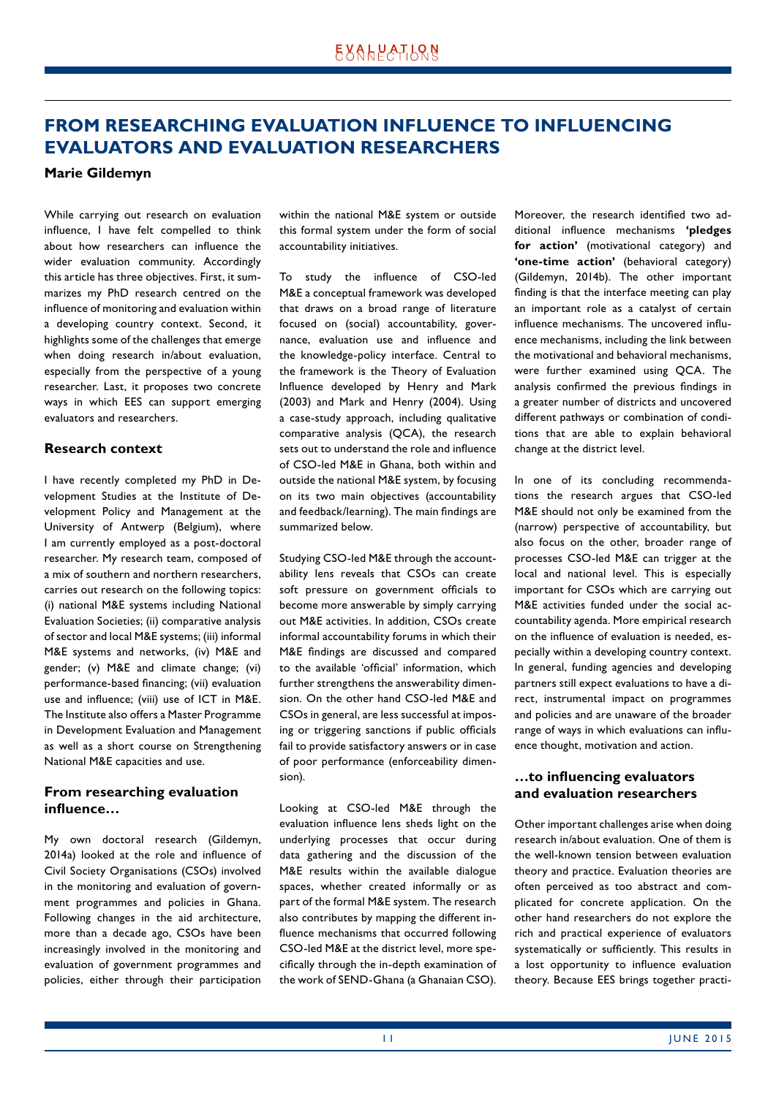# <span id="page-10-0"></span>**FROM RESEARCHING EVALUATION INFLUENCE TO INFLUENCING EVALUATORS AND EVALUATION RESEARCHERS**

#### **Marie Gildemyn**

While carrying out research on evaluation influence, I have felt compelled to think about how researchers can influence the wider evaluation community. Accordingly this article has three objectives. First, it summarizes my PhD research centred on the influence of monitoring and evaluation within a developing country context. Second, it highlights some of the challenges that emerge when doing research in/about evaluation, especially from the perspective of a young researcher. Last, it proposes two concrete ways in which EES can support emerging evaluators and researchers.

#### **Research context**

I have recently completed my PhD in Development Studies at the Institute of Development Policy and Management at the University of Antwerp (Belgium), where I am currently employed as a post-doctoral researcher. My research team, composed of a mix of southern and northern researchers, carries out research on the following topics: (i) national M&E systems including National Evaluation Societies; (ii) comparative analysis of sector and local M&E systems; (iii) informal M&E systems and networks, (iv) M&E and gender; (v) M&E and climate change; (vi) performance-based financing; (vii) evaluation use and influence; (viii) use of ICT in M&E. The Institute also offers a Master Programme in Development Evaluation and Management as well as a short course on Strengthening National M&E capacities and use.

## **From researching evaluation influence…**

My own doctoral research (Gildemyn, 2014a) looked at the role and influence of Civil Society Organisations (CSOs) involved in the monitoring and evaluation of government programmes and policies in Ghana. Following changes in the aid architecture, more than a decade ago, CSOs have been increasingly involved in the monitoring and evaluation of government programmes and policies, either through their participation

within the national M&E system or outside this formal system under the form of social accountability initiatives.

To study the influence of CSO-led M&E a conceptual framework was developed that draws on a broad range of literature focused on (social) accountability, governance, evaluation use and influence and the knowledge-policy interface. Central to the framework is the Theory of Evaluation Influence developed by Henry and Mark (2003) and Mark and Henry (2004). Using a case-study approach, including qualitative comparative analysis (QCA), the research sets out to understand the role and influence of CSO-led M&E in Ghana, both within and outside the national M&E system, by focusing on its two main objectives (accountability and feedback/learning). The main findings are summarized below.

Studying CSO-led M&E through the accountability lens reveals that CSOs can create soft pressure on government officials to become more answerable by simply carrying out M&E activities. In addition, CSOs create informal accountability forums in which their M&E findings are discussed and compared to the available 'official' information, which further strengthens the answerability dimension. On the other hand CSO-led M&E and CSOs in general, are less successful at imposing or triggering sanctions if public officials fail to provide satisfactory answers or in case of poor performance (enforceability dimension).

Looking at CSO-led M&E through the evaluation influence lens sheds light on the underlying processes that occur during data gathering and the discussion of the M&E results within the available dialogue spaces, whether created informally or as part of the formal M&E system. The research also contributes by mapping the different influence mechanisms that occurred following CSO-led M&E at the district level, more specifically through the in-depth examination of the work of SEND-Ghana (a Ghanaian CSO). Moreover, the research identified two additional influence mechanisms **'pledges for action'** (motivational category) and **'one-time action'** (behavioral category) (Gildemyn, 2014b). The other important finding is that the interface meeting can play an important role as a catalyst of certain influence mechanisms. The uncovered influence mechanisms, including the link between the motivational and behavioral mechanisms, were further examined using QCA. The analysis confirmed the previous findings in a greater number of districts and uncovered different pathways or combination of conditions that are able to explain behavioral change at the district level.

In one of its concluding recommendations the research argues that CSO-led M&E should not only be examined from the (narrow) perspective of accountability, but also focus on the other, broader range of processes CSO-led M&E can trigger at the local and national level. This is especially important for CSOs which are carrying out M&E activities funded under the social accountability agenda. More empirical research on the influence of evaluation is needed, especially within a developing country context. In general, funding agencies and developing partners still expect evaluations to have a direct, instrumental impact on programmes and policies and are unaware of the broader range of ways in which evaluations can influence thought, motivation and action.

## **…to influencing evaluators and evaluation researchers**

Other important challenges arise when doing research in/about evaluation. One of them is the well-known tension between evaluation theory and practice. Evaluation theories are often perceived as too abstract and complicated for concrete application. On the other hand researchers do not explore the rich and practical experience of evaluators systematically or sufficiently. This results in a lost opportunity to influence evaluation theory. Because EES brings together practi-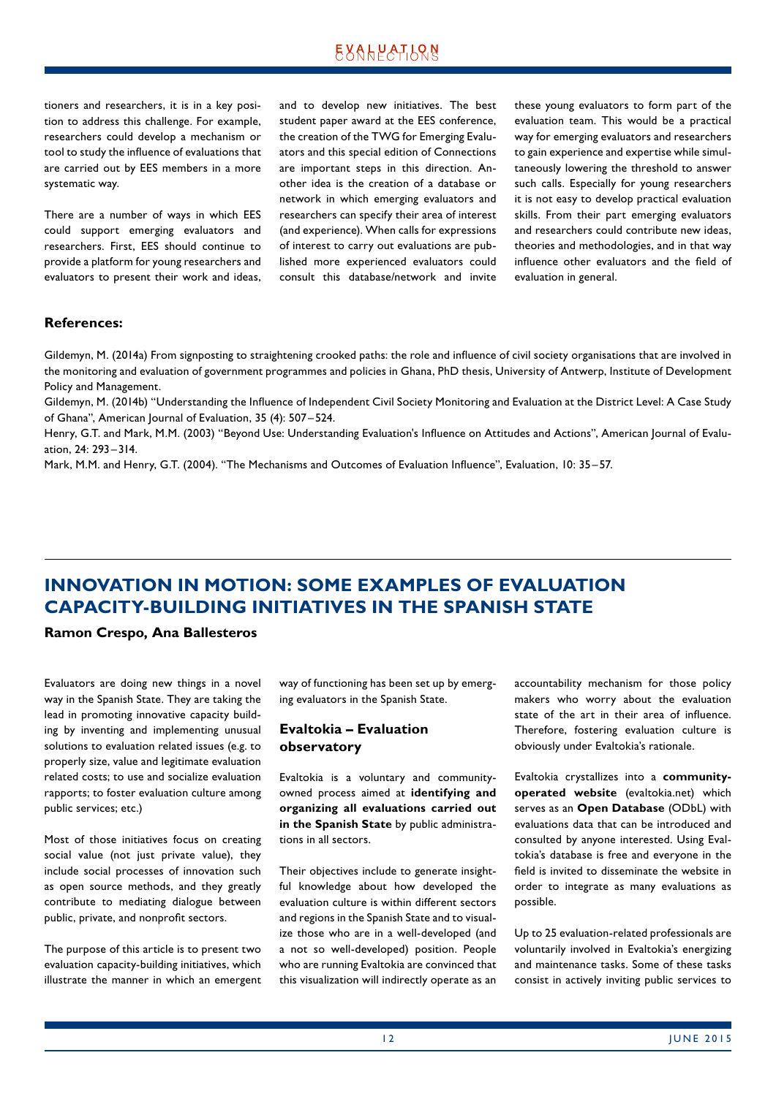<span id="page-11-0"></span>tioners and researchers, it is in a key position to address this challenge. For example, researchers could develop a mechanism or tool to study the influence of evaluations that are carried out by EES members in a more systematic way.

There are a number of ways in which EES could support emerging evaluators and researchers. First, EES should continue to provide a platform for young researchers and evaluators to present their work and ideas, and to develop new initiatives. The best student paper award at the EES conference, the creation of the TWG for Emerging Evaluators and this special edition of Connections are important steps in this direction. Another idea is the creation of a database or network in which emerging evaluators and researchers can specify their area of interest (and experience). When calls for expressions of interest to carry out evaluations are published more experienced evaluators could consult this database/network and invite these young evaluators to form part of the evaluation team. This would be a practical way for emerging evaluators and researchers to gain experience and expertise while simultaneously lowering the threshold to answer such calls. Especially for young researchers it is not easy to develop practical evaluation skills. From their part emerging evaluators and researchers could contribute new ideas, theories and methodologies, and in that way influence other evaluators and the field of evaluation in general.

## **References:**

Gildemyn, M. (2014a) From signposting to straightening crooked paths: the role and influence of civil society organisations that are involved in the monitoring and evaluation of government programmes and policies in Ghana, PhD thesis, University of Antwerp, Institute of Development Policy and Management.

Gildemyn, M. (2014b) "Understanding the Influence of Independent Civil Society Monitoring and Evaluation at the District Level: A Case Study of Ghana", American Journal of Evaluation, 35 (4): 507 –524.

Henry, G.T. and Mark, M.M. (2003) "Beyond Use: Understanding Evaluation's Influence on Attitudes and Actions", American Journal of Evaluation, 24: 293–314.

Mark, M.M. and Henry, G.T. (2004). "The Mechanisms and Outcomes of Evaluation Influence", Evaluation, 10: 35–57.

# **INNOVATION IN MOTION: SOME EXAMPLES OF EVALUATION CAPACITY-BUILDING INITIATIVES IN THE SPANISH STATE**

**Ramon Crespo, Ana Ballesteros**

Evaluators are doing new things in a novel way in the Spanish State. They are taking the lead in promoting innovative capacity building by inventing and implementing unusual solutions to evaluation related issues (e.g. to properly size, value and legitimate evaluation related costs; to use and socialize evaluation rapports; to foster evaluation culture among public services; etc.)

Most of those initiatives focus on creating social value (not just private value), they include social processes of innovation such as open source methods, and they greatly contribute to mediating dialogue between public, private, and nonprofit sectors.

The purpose of this article is to present two evaluation capacity-building initiatives, which illustrate the manner in which an emergent way of functioning has been set up by emerging evaluators in the Spanish State.

## **Evaltokia – Evaluation observatory**

Evaltokia is a voluntary and communityowned process aimed at **identifying and organizing all evaluations carried out in the Spanish State** by public administrations in all sectors.

Their objectives include to generate insightful knowledge about how developed the evaluation culture is within different sectors and regions in the Spanish State and to visualize those who are in a well-developed (and a not so well-developed) position. People who are running Evaltokia are convinced that this visualization will indirectly operate as an accountability mechanism for those policy makers who worry about the evaluation state of the art in their area of influence. Therefore, fostering evaluation culture is obviously under Evaltokia's rationale.

Evaltokia crystallizes into a **communityoperated website** (evaltokia.net) which serves as an **Open Database** (ODbL) with evaluations data that can be introduced and consulted by anyone interested. Using Evaltokia's database is free and everyone in the field is invited to disseminate the website in order to integrate as many evaluations as possible.

Up to 25 evaluation-related professionals are voluntarily involved in Evaltokia's energizing and maintenance tasks. Some of these tasks consist in actively inviting public services to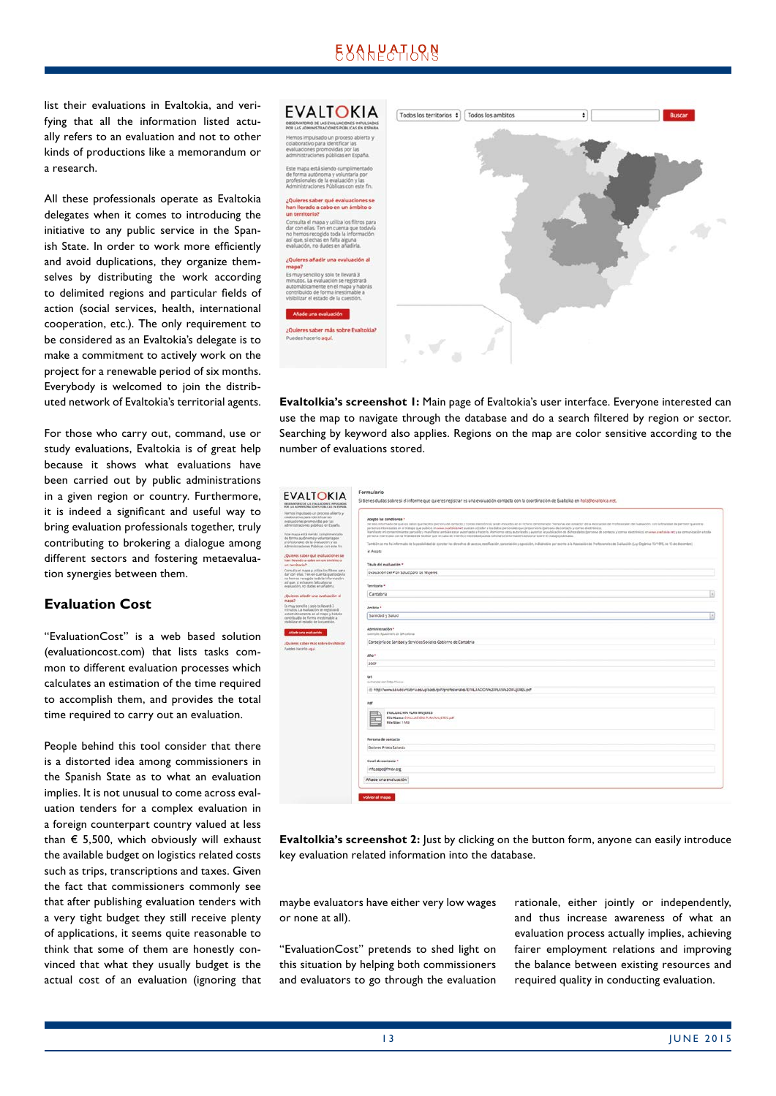# EXALPATLRN

list their evaluations in Evaltokia, and verifying that all the information listed actually refers to an evaluation and not to other kinds of productions like a memorandum or a research.

All these professionals operate as Evaltokia delegates when it comes to introducing the initiative to any public service in the Spanish State. In order to work more efficiently and avoid duplications, they organize themselves by distributing the work according to delimited regions and particular fields of action (social services, health, international cooperation, etc.). The only requirement to be considered as an Evaltokia's delegate is to make a commitment to actively work on the project for a renewable period of six months. Everybody is welcomed to join the distributed network of Evaltokia's territorial agents.

For those who carry out, command, use or study evaluations, Evaltokia is of great help because it shows what evaluations have been carried out by public administrations in a given region or country. Furthermore, it is indeed a significant and useful way to bring evaluation professionals together, truly contributing to brokering a dialogue among different sectors and fostering metaevaluation synergies between them.

## **Evaluation Cost**

"EvaluationCost" is a web based solution (evaluationcost.com) that lists tasks common to different evaluation processes which calculates an estimation of the time required to accomplish them, and provides the total time required to carry out an evaluation.

People behind this tool consider that there is a distorted idea among commissioners in the Spanish State as to what an evaluation implies. It is not unusual to come across evaluation tenders for a complex evaluation in a foreign counterpart country valued at less than  $\epsilon$  5,500, which obviously will exhaust the available budget on logistics related costs such as trips, transcriptions and taxes. Given the fact that commissioners commonly see that after publishing evaluation tenders with a very tight budget they still receive plenty of applications, it seems quite reasonable to think that some of them are honestly convinced that what they usually budget is the actual cost of an evaluation (ignoring that



**Evaltolkia's screenshot 1:** Main page of Evaltokia's user interface. Everyone interested can use the map to navigate through the database and do a search filtered by region or sector. Searching by keyword also applies. Regions on the map are color sensitive according to the number of evaluations stored.

| IF LAS ADMINISTRACIONES PUBLICAS EN ESPAÑA                                                                                                                                                                                                                      |                                                                                                                                                                                                                                                                                                                                                                                                                                                                                                                                                                                                                                                                                                                                                                                                                                  |  |
|-----------------------------------------------------------------------------------------------------------------------------------------------------------------------------------------------------------------------------------------------------------------|----------------------------------------------------------------------------------------------------------------------------------------------------------------------------------------------------------------------------------------------------------------------------------------------------------------------------------------------------------------------------------------------------------------------------------------------------------------------------------------------------------------------------------------------------------------------------------------------------------------------------------------------------------------------------------------------------------------------------------------------------------------------------------------------------------------------------------|--|
| whos impulsado un proceso abierto y<br>datorativo para identificar las<br>aluadores promovidas por las<br>dreininvaciones públicas en España.<br>de mapa está siendo camplimentado.<br>e forma autónoma y voluntaria por<br>refesionales de la evaluación y las | Acepte las conditiones *<br>Har dobis informado de qué los datos que lacito (persona de esmiscio y comes electrónicos) sedel-incuscios en el Tichene denominado Tensonas de consácio" de la Asiciación de Professoriales de los las distintidos (on tambié<br>parsonas internaçãos en el tratajo que publica en unux avateria not puedan acceder a los distos personales que proporciono (persona de contacto y comes electrónicos)<br>Manifesto el sonsenimiente para ello y manifesto también estar autorizada a hacerio. Asimismo attoy autorizado y autorizo le publicadon de dichos datos (persona de contento y comes electrónico) en www.awabala.net y ou comu<br>personal impression con la finalidad de facilitar qua en coso de mente, o necessitad pueda solicitarse información adicional sobre el subajo publicado. |  |
| druinistradures Públicas con este fin.                                                                                                                                                                                                                          | Tantolin as ma ha informado de la posibilidad de mentar les directos de acosa, recolución, sanceable, y oposición, indicándos per secrito Ala Alascodos de Prefesorates de Dallusción (Cy) Orgánico 15/1999, de 13 de dicembre<br>at Aceptor                                                                                                                                                                                                                                                                                                                                                                                                                                                                                                                                                                                     |  |
| ae zanoisuloui suo nadez zanisul<br>an llevado a cabo en un ámbito o<br>n berritoria."                                                                                                                                                                          | Titulo del evaluación -                                                                                                                                                                                                                                                                                                                                                                                                                                                                                                                                                                                                                                                                                                                                                                                                          |  |
| providu et mapa y utiliza los filtres para<br>ar con ellas. Ten en cuenta que todavía<br>ričosmini al doda sogaseran danan                                                                                                                                      | Evaluação del Plan Salud para las Mujeres                                                                                                                                                                                                                                                                                                                                                                                                                                                                                                                                                                                                                                                                                                                                                                                        |  |
| slique, si echas en falta alguna.<br>lakjadišni, no dudes en ahadina.                                                                                                                                                                                           | Tamiltonia *                                                                                                                                                                                                                                                                                                                                                                                                                                                                                                                                                                                                                                                                                                                                                                                                                     |  |
| Quieres añodir una evaluación al<br>14042                                                                                                                                                                                                                       | Cantabria                                                                                                                                                                                                                                                                                                                                                                                                                                                                                                                                                                                                                                                                                                                                                                                                                        |  |
| crosy sendito y solo te llevarà 3.<br>Inutos, La maluación se registrará                                                                                                                                                                                        | Ambite *                                                                                                                                                                                                                                                                                                                                                                                                                                                                                                                                                                                                                                                                                                                                                                                                                         |  |
| zlamátícamente an el mapa y habitat<br>intribuido de Torma mestimable a<br>sibilizar el estado de la cuestión.                                                                                                                                                  | Sanidad y Salud                                                                                                                                                                                                                                                                                                                                                                                                                                                                                                                                                                                                                                                                                                                                                                                                                  |  |
| Aflade una evaluación                                                                                                                                                                                                                                           | Administración *<br>Szengle: Ajutament de Divisional                                                                                                                                                                                                                                                                                                                                                                                                                                                                                                                                                                                                                                                                                                                                                                             |  |
| Quieres saber más sobre Evaltoxia?<br>utdes hacerlo agui.                                                                                                                                                                                                       | Consejoria de Sanidad y Servicios Sociales Gobierno de Cartabria                                                                                                                                                                                                                                                                                                                                                                                                                                                                                                                                                                                                                                                                                                                                                                 |  |
|                                                                                                                                                                                                                                                                 | Afo <sup>+</sup>                                                                                                                                                                                                                                                                                                                                                                                                                                                                                                                                                                                                                                                                                                                                                                                                                 |  |
|                                                                                                                                                                                                                                                                 | 2007                                                                                                                                                                                                                                                                                                                                                                                                                                                                                                                                                                                                                                                                                                                                                                                                                             |  |
|                                                                                                                                                                                                                                                                 | <b>UH</b><br>comenzar con Artis Marene.                                                                                                                                                                                                                                                                                                                                                                                                                                                                                                                                                                                                                                                                                                                                                                                          |  |
|                                                                                                                                                                                                                                                                 | @ http://www.saludcancabria.esruploaes/pef/profesionales/EVALUAD/ON/k20PLAN/k20MUjERES.pdf                                                                                                                                                                                                                                                                                                                                                                                                                                                                                                                                                                                                                                                                                                                                       |  |
|                                                                                                                                                                                                                                                                 | Put                                                                                                                                                                                                                                                                                                                                                                                                                                                                                                                                                                                                                                                                                                                                                                                                                              |  |
|                                                                                                                                                                                                                                                                 | <b>EVALUACIÓN PLAN MUJERES</b><br>file Name: (VALLACION FLAN NU(ERES pdf)<br><b>Hie Size: 1 MG</b>                                                                                                                                                                                                                                                                                                                                                                                                                                                                                                                                                                                                                                                                                                                               |  |
|                                                                                                                                                                                                                                                                 | Persona de contacto                                                                                                                                                                                                                                                                                                                                                                                                                                                                                                                                                                                                                                                                                                                                                                                                              |  |
|                                                                                                                                                                                                                                                                 | Dolores Prieto Salceda                                                                                                                                                                                                                                                                                                                                                                                                                                                                                                                                                                                                                                                                                                                                                                                                           |  |
|                                                                                                                                                                                                                                                                 | Email de contacte *                                                                                                                                                                                                                                                                                                                                                                                                                                                                                                                                                                                                                                                                                                                                                                                                              |  |
|                                                                                                                                                                                                                                                                 | info.ospc@fmdv.org                                                                                                                                                                                                                                                                                                                                                                                                                                                                                                                                                                                                                                                                                                                                                                                                               |  |
|                                                                                                                                                                                                                                                                 | Añade una evaluación                                                                                                                                                                                                                                                                                                                                                                                                                                                                                                                                                                                                                                                                                                                                                                                                             |  |

**Evaltolkia's screenshot 2:** Just by clicking on the button form, anyone can easily introduce key evaluation related information into the database.

maybe evaluators have either very low wages or none at all).

"EvaluationCost" pretends to shed light on this situation by helping both commissioners and evaluators to go through the evaluation

rationale, either jointly or independently, and thus increase awareness of what an evaluation process actually implies, achieving fairer employment relations and improving the balance between existing resources and required quality in conducting evaluation.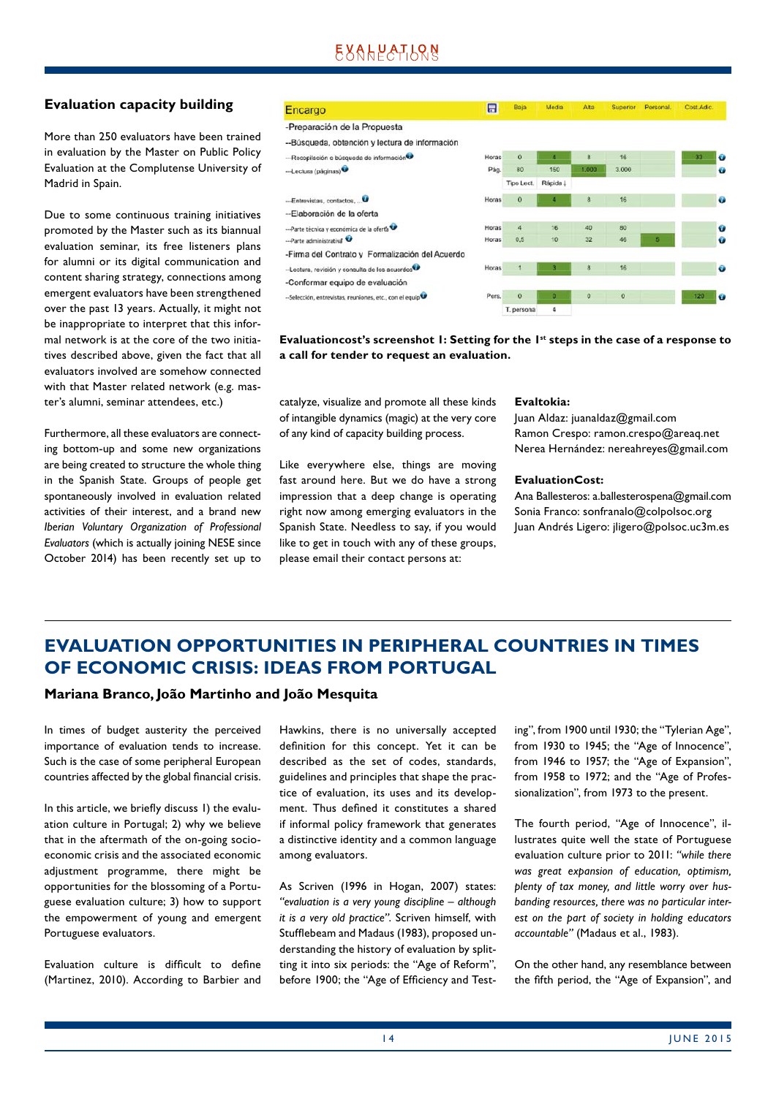# EXALPATLRN

## <span id="page-13-0"></span>**Evaluation capacity building**

More than 250 evaluators have been trained in evaluation by the Master on Public Policy Evaluation at the Complutense University of Madrid in Spain.

Due to some continuous training initiatives promoted by the Master such as its biannual evaluation seminar, its free listeners plans for alumni or its digital communication and content sharing strategy, connections among emergent evaluators have been strengthened over the past 13 years. Actually, it might not be inappropriate to interpret that this informal network is at the core of the two initiatives described above, given the fact that all evaluators involved are somehow connected with that Master related network (e.g. master's alumni, seminar attendees, etc.)

Furthermore, all these evaluators are connecting bottom-up and some new organizations are being created to structure the whole thing in the Spanish State. Groups of people get spontaneously involved in evaluation related activities of their interest, and a brand new *Iberian Voluntary Organization of Professional Evaluators* (which is actually joining NESE since October 2014) has been recently set up to

#### Encargo





Evaluationcost's screenshot 1: Setting for the 1<sup>st</sup> steps in the case of a response to **a call for tender to request an evaluation.**

catalyze, visualize and promote all these kinds of intangible dynamics (magic) at the very core of any kind of capacity building process.

Like everywhere else, things are moving fast around here. But we do have a strong impression that a deep change is operating right now among emerging evaluators in the Spanish State. Needless to say, if you would like to get in touch with any of these groups, please email their contact persons at:

#### **Evaltokia:**

Juan Aldaz: juanaldaz@gmail.com Ramon Crespo: ramon.crespo@areaq.net Nerea Hernández: nereahreyes@gmail.com

#### **EvaluationCost:**

Ana Ballesteros: a.ballesterospena@gmail.com Sonia Franco: sonfranalo@colpolsoc.org Juan Andrés Ligero: jligero@polsoc.uc3m.es

# **EVALUATION OPPORTUNITIES IN PERIPHERAL COUNTRIES IN TIMES OF ECONOMIC CRISIS: IDEAS FROM PORTUGAL**

## **Mariana Branco, João Martinho and João Mesquita**

In times of budget austerity the perceived importance of evaluation tends to increase. Such is the case of some peripheral European countries affected by the global financial crisis.

In this article, we briefly discuss 1) the evaluation culture in Portugal; 2) why we believe that in the aftermath of the on-going socioeconomic crisis and the associated economic adjustment programme, there might be opportunities for the blossoming of a Portuguese evaluation culture; 3) how to support the empowerment of young and emergent Portuguese evaluators.

Evaluation culture is difficult to define (Martinez, 2010). According to Barbier and Hawkins, there is no universally accepted definition for this concept. Yet it can be described as the set of codes, standards, guidelines and principles that shape the practice of evaluation, its uses and its development. Thus defined it constitutes a shared if informal policy framework that generates a distinctive identity and a common language among evaluators.

As Scriven (1996 in Hogan, 2007) states: *"evaluation is a very young discipline – although it is a very old practice"*. Scriven himself, with Stufflebeam and Madaus (1983), proposed understanding the history of evaluation by splitting it into six periods: the "Age of Reform", before 1900; the "Age of Efficiency and Testing", from 1900 until 1930; the "Tylerian Age", from 1930 to 1945; the "Age of Innocence", from 1946 to 1957; the "Age of Expansion", from 1958 to 1972; and the "Age of Professionalization", from 1973 to the present.

The fourth period, "Age of Innocence", illustrates quite well the state of Portuguese evaluation culture prior to 2011: *"while there was great expansion of education, optimism, plenty of tax money, and little worry over husbanding resources, there was no particular interest on the part of society in holding educators accountable"* (Madaus et al., 1983).

On the other hand, any resemblance between the fifth period, the "Age of Expansion", and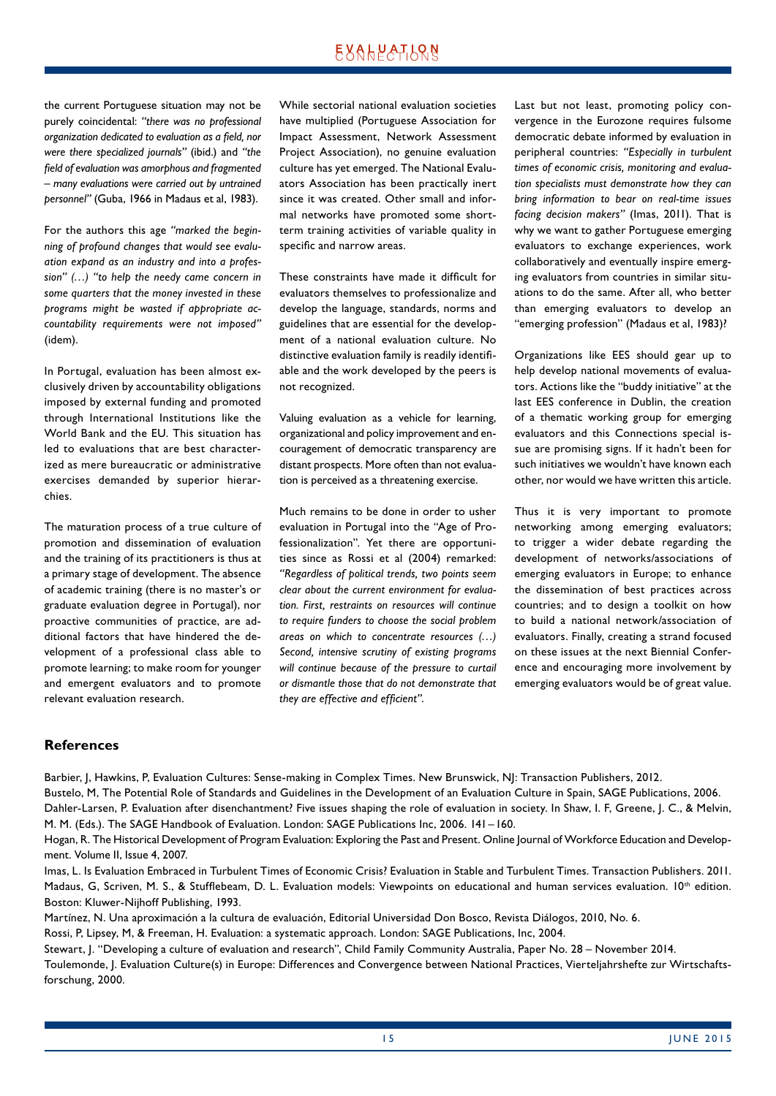the current Portuguese situation may not be purely coincidental: *"there was no professional organization dedicated to evaluation as a field, nor were there specialized journals"* (ibid.) and *"the field of evaluation was amorphous and fragmented – many evaluations were carried out by untrained personnel"* (Guba, 1966 in Madaus et al, 1983).

For the authors this age *"marked the beginning of profound changes that would see evaluation expand as an industry and into a profession" (…) "to help the needy came concern in some quarters that the money invested in these programs might be wasted if appropriate accountability requirements were not imposed"* (idem).

In Portugal, evaluation has been almost exclusively driven by accountability obligations imposed by external funding and promoted through International Institutions like the World Bank and the EU. This situation has led to evaluations that are best characterized as mere bureaucratic or administrative exercises demanded by superior hierarchies.

The maturation process of a true culture of promotion and dissemination of evaluation and the training of its practitioners is thus at a primary stage of development. The absence of academic training (there is no master's or graduate evaluation degree in Portugal), nor proactive communities of practice, are additional factors that have hindered the development of a professional class able to promote learning; to make room for younger and emergent evaluators and to promote relevant evaluation research.

While sectorial national evaluation societies have multiplied (Portuguese Association for Impact Assessment, Network Assessment Project Association), no genuine evaluation culture has yet emerged. The National Evaluators Association has been practically inert since it was created. Other small and informal networks have promoted some shortterm training activities of variable quality in specific and narrow areas.

These constraints have made it difficult for evaluators themselves to professionalize and develop the language, standards, norms and guidelines that are essential for the development of a national evaluation culture. No distinctive evaluation family is readily identifiable and the work developed by the peers is not recognized.

Valuing evaluation as a vehicle for learning, organizational and policy improvement and encouragement of democratic transparency are distant prospects. More often than not evaluation is perceived as a threatening exercise.

Much remains to be done in order to usher evaluation in Portugal into the "Age of Professionalization". Yet there are opportunities since as Rossi et al (2004) remarked: *"Regardless of political trends, two points seem clear about the current environment for evaluation. First, restraints on resources will continue to require funders to choose the social problem areas on which to concentrate resources (…) Second, intensive scrutiny of existing programs will continue because of the pressure to curtail or dismantle those that do not demonstrate that they are effective and efficient"*.

Last but not least, promoting policy convergence in the Eurozone requires fulsome democratic debate informed by evaluation in peripheral countries: *"Especially in turbulent times of economic crisis, monitoring and evaluation specialists must demonstrate how they can bring information to bear on real-time issues facing decision makers"* (Imas, 2011). That is why we want to gather Portuguese emerging evaluators to exchange experiences, work collaboratively and eventually inspire emerging evaluators from countries in similar situations to do the same. After all, who better than emerging evaluators to develop an "emerging profession" (Madaus et al, 1983)?

Organizations like EES should gear up to help develop national movements of evaluators. Actions like the "buddy initiative" at the last EES conference in Dublin, the creation of a thematic working group for emerging evaluators and this Connections special issue are promising signs. If it hadn't been for such initiatives we wouldn't have known each other, nor would we have written this article.

Thus it is very important to promote networking among emerging evaluators; to trigger a wider debate regarding the development of networks/associations of emerging evaluators in Europe; to enhance the dissemination of best practices across countries; and to design a toolkit on how to build a national network/association of evaluators. Finally, creating a strand focused on these issues at the next Biennial Conference and encouraging more involvement by emerging evaluators would be of great value.

## **References**

Barbier, J, Hawkins, P, Evaluation Cultures: Sense-making in Complex Times. New Brunswick, NJ: Transaction Publishers, 2012. Bustelo, M, The Potential Role of Standards and Guidelines in the Development of an Evaluation Culture in Spain, SAGE Publications, 2006. Dahler-Larsen, P. Evaluation after disenchantment? Five issues shaping the role of evaluation in society. In Shaw, I. F, Greene, J. C., & Melvin, M. M. (Eds.). The SAGE Handbook of Evaluation. London: SAGE Publications Inc, 2006. 141 –160.

Hogan, R. The Historical Development of Program Evaluation: Exploring the Past and Present. Online Journal of Workforce Education and Development. Volume II, Issue 4, 2007.

Imas, L. Is Evaluation Embraced in Turbulent Times of Economic Crisis? Evaluation in Stable and Turbulent Times. Transaction Publishers. 2011. Madaus, G, Scriven, M. S., & Stufflebeam, D. L. Evaluation models: Viewpoints on educational and human services evaluation. 10<sup>th</sup> edition. Boston: Kluwer-Nijhoff Publishing, 1993.

Martínez, N. Una aproximación a la cultura de evaluación, Editorial Universidad Don Bosco, Revista Diálogos, 2010, No. 6.

Rossi, P, Lipsey, M, & Freeman, H. Evaluation: a systematic approach. London: SAGE Publications, Inc, 2004.

Stewart, J. "Developing a culture of evaluation and research", Child Family Community Australia, Paper No. 28 – November 2014. Toulemonde, J. Evaluation Culture(s) in Europe: Differences and Convergence between National Practices, Vierteljahrshefte zur Wirtschaftsforschung, 2000.